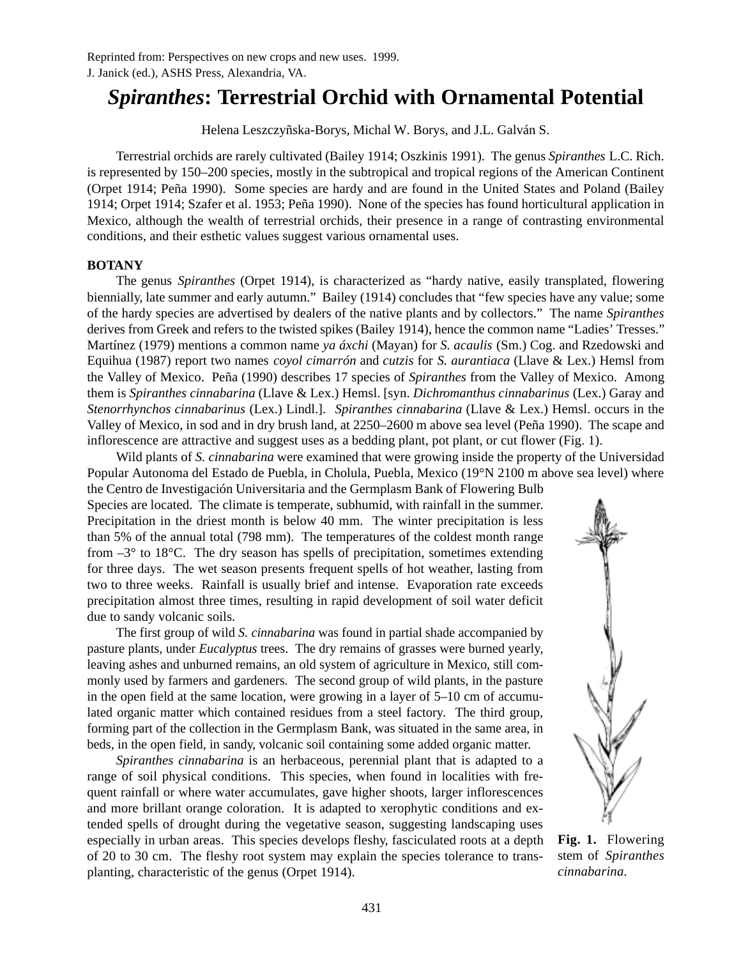# *Spiranthes***: Terrestrial Orchid with Ornamental Potential**

Helena Leszczyñska-Borys, Michal W. Borys, and J.L. Galván S.

Terrestrial orchids are rarely cultivated (Bailey 1914; Oszkinis 1991). The genus *Spiranthes* L.C. Rich. is represented by 150–200 species, mostly in the subtropical and tropical regions of the American Continent (Orpet 1914; Peña 1990). Some species are hardy and are found in the United States and Poland (Bailey 1914; Orpet 1914; Szafer et al. 1953; Peña 1990). None of the species has found horticultural application in Mexico, although the wealth of terrestrial orchids, their presence in a range of contrasting environmental conditions, and their esthetic values suggest various ornamental uses.

## **BOTANY**

The genus *Spiranthes* (Orpet 1914), is characterized as "hardy native, easily transplated, flowering biennially, late summer and early autumn." Bailey (1914) concludes that "few species have any value; some of the hardy species are advertised by dealers of the native plants and by collectors." The name *Spiranthes* derives from Greek and refers to the twisted spikes (Bailey 1914), hence the common name "Ladies' Tresses." Martínez (1979) mentions a common name *ya áxchi* (Mayan) for *S. acaulis* (Sm.) Cog. and Rzedowski and Equihua (1987) report two names *coyol cimarrón* and *cutzis* for *S. aurantiaca* (Llave & Lex.) Hemsl from the Valley of Mexico. Peña (1990) describes 17 species of *Spiranthes* from the Valley of Mexico. Among them is *Spiranthes cinnabarina* (Llave & Lex.) Hemsl. [syn. *Dichromanthus cinnabarinus* (Lex.) Garay and *Stenorrhynchos cinnabarinus* (Lex.) Lindl.]. *Spiranthes cinnabarina* (Llave & Lex.) Hemsl. occurs in the Valley of Mexico, in sod and in dry brush land, at 2250–2600 m above sea level (Peña 1990). The scape and inflorescence are attractive and suggest uses as a bedding plant, pot plant, or cut flower (Fig. 1).

Wild plants of *S. cinnabarina* were examined that were growing inside the property of the Universidad Popular Autonoma del Estado de Puebla, in Cholula, Puebla, Mexico (19°N 2100 m above sea level) where the Centro de Investigación Universitaria and the Germplasm Bank of Flowering Bulb

Species are located. The climate is temperate, subhumid, with rainfall in the summer. Precipitation in the driest month is below 40 mm. The winter precipitation is less than 5% of the annual total (798 mm). The temperatures of the coldest month range from  $-3^\circ$  to 18 $^\circ$ C. The dry season has spells of precipitation, sometimes extending for three days. The wet season presents frequent spells of hot weather, lasting from two to three weeks. Rainfall is usually brief and intense. Evaporation rate exceeds precipitation almost three times, resulting in rapid development of soil water deficit due to sandy volcanic soils.

The first group of wild *S. cinnabarina* was found in partial shade accompanied by pasture plants, under *Eucalyptus* trees. The dry remains of grasses were burned yearly, leaving ashes and unburned remains, an old system of agriculture in Mexico, still commonly used by farmers and gardeners. The second group of wild plants, in the pasture in the open field at the same location, were growing in a layer of 5–10 cm of accumulated organic matter which contained residues from a steel factory. The third group, forming part of the collection in the Germplasm Bank, was situated in the same area, in beds, in the open field, in sandy, volcanic soil containing some added organic matter.

*Spiranthes cinnabarina* is an herbaceous, perennial plant that is adapted to a range of soil physical conditions. This species, when found in localities with frequent rainfall or where water accumulates, gave higher shoots, larger inflorescences and more brillant orange coloration. It is adapted to xerophytic conditions and extended spells of drought during the vegetative season, suggesting landscaping uses especially in urban areas. This species develops fleshy, fasciculated roots at a depth of 20 to 30 cm. The fleshy root system may explain the species tolerance to transplanting, characteristic of the genus (Orpet 1914).



**Fig. 1.** Flowering stem of *Spiranthes cinnabarina*.